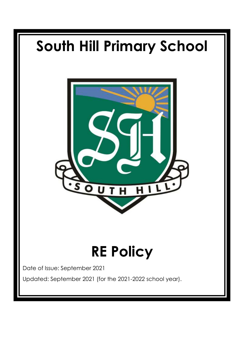# **South Hill Primary School** н **RE Policy** Date of Issue: September 2021 Updated: September 2021 (for the 2021-2022 school year).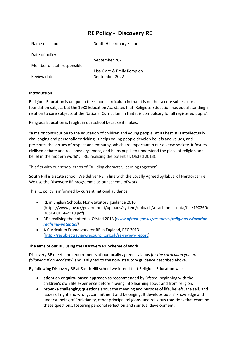# **RE Policy - Discovery RE**

| Name of school              | South Hill Primary School  |
|-----------------------------|----------------------------|
|                             |                            |
|                             |                            |
| Date of policy              |                            |
|                             | September 2021             |
| Member of staff responsible |                            |
|                             | Lisa Clare & Emily Kemplen |
| Review date                 | September 2022             |
|                             |                            |

### **Introduction**

Religious Education is unique in the school curriculum in that it is neither a core subject nor a foundation subject but the 1988 Education Act states that 'Religious Education has equal standing in relation to core subjects of the National Curriculum in that it is compulsory for all registered pupils'.

Religious Education is taught in our school because it makes:

"a major contribution to the education of children and young people. At its best, it is intellectually challenging and personally enriching. It helps young people develop beliefs and values, and promotes the virtues of respect and empathy, which are important in our diverse society. It fosters civilised debate and reasoned argument, and helps pupils to understand the place of religion and belief in the modern world". (RE: realising the potential, Ofsted 2013).

This fits with our school ethos of 'Building character, learning together'.

**South Hill** is a state school. We deliver RE in line with the Locally Agreed Syllabus of Hertfordshire. We use the Discovery RE programme as our scheme of work.

This RE policy is informed by current national guidance:

- RE in English Schools: Non-statutory guidance 2010 (https://www.gov.uk/government/uploads/system/uploads/attachment\_data/file/190260/ DCSF-00114-2010.pdf)
- RE : realising the potential Ofsted 2013 (*www.ofsted.gov.uk/resources/[religious-education](http://www.ofsted.gov.uk/resources/religious-education-realising-potential)realising-[potential\)](http://www.ofsted.gov.uk/resources/religious-education-realising-potential)*
- A Curriculum Framework for RE in England, REC 2013 [\(http://resubjectreview.recouncil.org.uk/re-review-report\)](http://resubjectreview.recouncil.org.uk/re-review-report)

### **The aims of our RE, using the Discovery RE Scheme of Work**

Discovery RE meets the requirements of our locally agreed syllabus (*or the curriculum you are following if an Academy*) and is aligned to the non- statutory guidance described above.

By following Discovery RE at South Hill school we intend that Religious Education will:-

- **adopt an enquiry- based approach** as recommended by Ofsted, beginning with the children's own life experience before moving into learning about and from religion.
- **provoke challenging questions** about the meaning and purpose of life, beliefs, the self, and issues of right and wrong, commitment and belonging. It develops pupils' knowledge and understanding of Christianity, other principal religions, and religious traditions that examine these questions, fostering personal reflection and spiritual development.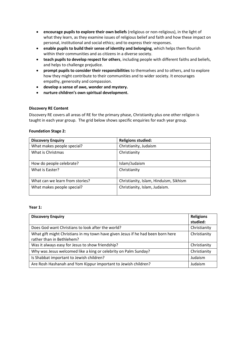- **encourage pupils to explore their own beliefs** (religious or non-religious), in the light of what they learn, as they examine issues of religious belief and faith and how these impact on personal, institutional and social ethics; and to express their responses.
- **enable pupils to build their sense of identity and belonging**, which helps them flourish within their communities and as citizens in a diverse society.
- **teach pupils to develop respect for others**, including people with different faiths and beliefs, and helps to challenge prejudice.
- **prompt pupils to consider their responsibilities** to themselves and to others, and to explore how they might contribute to their communities and to wider society. It encourages empathy, generosity and compassion.
- **develop a sense of awe, wonder and mystery.**
- **nurture children's own spiritual development.**

### **Discovery RE Content**

Discovery RE covers all areas of RE for the primary phase, Christianity plus one other religion is taught in each year group. The grid below shows specific enquiries for each year group.

### **Foundation Stage 2:**

| <b>Discovery Enquiry</b>        | <b>Religions studied:</b>              |
|---------------------------------|----------------------------------------|
| What makes people special?      | Christianity, Judaism                  |
| What is Christmas               | Christianity                           |
| How do people celebrate?        | Islam/Judaism                          |
| What is Easter?                 | Christianity                           |
| What can we learn from stories? | Christianity, Islam, Hinduism, Sikhism |
| What makes people special?      | Christianity, Islam, Judaism.          |

### **Year 1:**

| <b>Discovery Enquiry</b>                                                                                     | <b>Religions</b><br>studied: |
|--------------------------------------------------------------------------------------------------------------|------------------------------|
| Does God want Christians to look after the world?                                                            | Christianity                 |
| What gift might Christians in my town have given Jesus if he had been born here<br>rather than in Bethlehem? | Christianity                 |
| Was it always easy for Jesus to show friendship?                                                             | Christianity                 |
| Why was Jesus welcomed like a king or celebrity on Palm Sunday?                                              | Christianity                 |
| Is Shabbat important to Jewish children?                                                                     | Judaism                      |
| Are Rosh Hashanah and Yom Kippur important to Jewish children?                                               | Judaism                      |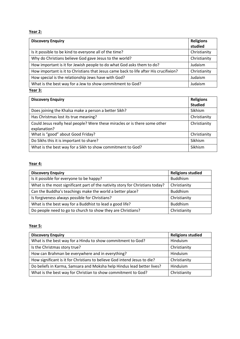**Year 2:**

| <b>Discovery Enquiry</b>                                                              | <b>Religions</b><br>studied |
|---------------------------------------------------------------------------------------|-----------------------------|
| Is it possible to be kind to everyone all of the time?                                | Christianity                |
| Why do Christians believe God gave Jesus to the world?                                | Christianity                |
| How important is it for Jewish people to do what God asks them to do?                 | Judaism                     |
| How important is it to Christians that Jesus came back to life after His crucifixion? | Christianity                |
| How special is the relationship Jews have with God?                                   | Judaism                     |
| What is the best way for a Jew to show commitment to God?                             | Judaism                     |

### **Year 3:**

| <b>Discovery Enquiry</b>                                                                   | <b>Religions</b><br><b>Studied</b> |
|--------------------------------------------------------------------------------------------|------------------------------------|
| Does joining the Khalsa make a person a better Sikh?                                       | Sikhism                            |
| Has Christmas lost its true meaning?                                                       | Christianity                       |
| Could Jesus really heal people? Were these miracles or is there some other<br>explanation? | Christianity                       |
| What is "good" about Good Friday?                                                          | Christianity                       |
| Do Sikhs this it is important to share?                                                    | Sikhism                            |
| What is the best way for a Sikh to show commitment to God?                                 | Sikhism                            |

# **Year 4:**

| <b>Discovery Enquiry</b>                                                      | <b>Religions studied</b> |
|-------------------------------------------------------------------------------|--------------------------|
| Is it possible for everyone to be happy?                                      | <b>Buddhism</b>          |
| What is the most significant part of the nativity story for Christians today? | Christianity             |
| Can the Buddha's teachings make the world a better place?                     | <b>Buddhism</b>          |
| Is forgiveness always possible for Christians?                                | Christianity             |
| What is the best way for a Buddhist to lead a good life?                      | <b>Buddhism</b>          |
| Do people need to go to church to show they are Christians?                   | Christianity             |

# **Year 5:**

| <b>Discovery Enquiry</b>                                                 | <b>Religions studied</b> |
|--------------------------------------------------------------------------|--------------------------|
| What is the best way for a Hindu to show commitment to God?              | Hinduism                 |
| Is the Christmas story true?                                             | Christianity             |
| How can Brahman be everywhere and in everything?                         | Hinduism                 |
| How significant is it for Christians to believe God intend Jesus to die? | Christianity             |
| Do beliefs in Karma, Samsara and Moksha help Hindus lead better lives?   | Hinduism                 |
| What is the best way for Christian to show commitment to God?            | Christianity             |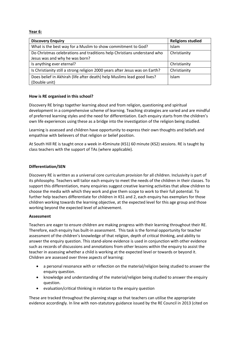**Year 6:**

| <b>Discovery Enquiry</b>                                                     | <b>Religions studied</b> |
|------------------------------------------------------------------------------|--------------------------|
| What is the best way for a Muslim to show commitment to God?                 | Islam                    |
| Do Christmas celebrations and traditions help Christians understand who      | Christianity             |
| Jesus was and why he was born?                                               |                          |
| Is anything ever eternal?                                                    | Christianity             |
| Is Christianity still a strong religion 2000 years after Jesus was on Earth? | Christianity             |
| Does belief in Akhirah (life after death) help Muslims lead good lives?      | Islam                    |
| (Double unit)                                                                |                          |

### **How is RE organised in this school?**

Discovery RE brings together learning about and from religion, questioning and spiritual development in a comprehensive scheme of learning. Teaching strategies are varied and are mindful of preferred learning styles and the need for differentiation. Each enquiry starts from the children's own life experiences using these as a bridge into the investigation of the religion being studied.

Learning is assessed and children have opportunity to express their own thoughts and beliefs and empathise with believers of that religion or belief position.

At South Hill RE is taught once a week in 45minute (KS1) 60 minute (KS2) sessions. RE is taught by class teachers with the support of TAs (where applicable).

### **Differentiation/SEN**

Discovery RE is written as a universal core curriculum provision for all children. Inclusivity is part of its philosophy. Teachers will tailor each enquiry to meet the needs of the children in their classes. To support this differentiation, many enquiries suggest creative learning activities that allow children to choose the media with which they work and give them scope to work to their full potential. To further help teachers differentiate for children in KS1 and 2, each enquiry has exemplars for those children working towards the learning objective, at the expected level for this age group and those working beyond the expected level of achievement.

### **Assessment**

Teachers are eager to ensure children are making progress with their learning throughout their RE. Therefore, each enquiry has built-in assessment. This task is the formal opportunity for teacher assessment of the children's knowledge of that religion, depth of critical thinking, and ability to answer the enquiry question. This stand-alone evidence is used in conjunction with other evidence such as records of discussions and annotations from other lessons within the enquiry to assist the teacher in assessing whether a child is working at the expected level or towards or beyond it. Children are assessed over three aspects of learning:

- a personal resonance with or reflection on the material/religion being studied to answer the enquiry question.
- knowledge and understanding of the material/religion being studied to answer the enquiry question.
- evaluation/critical thinking in relation to the enquiry question

These are tracked throughout the planning stage so that teachers can utilise the appropriate evidence accordingly. In line with non-statutory guidance issued by the RE Council in 2013 (cited on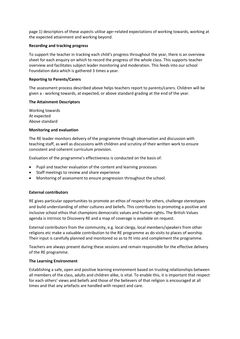page 1) descriptors of these aspects utilise age–related expectations of working towards, working at the expected attainment and working beyond.

### **Recording and tracking progress**

To support the teacher in tracking each child's progress throughout the year, there is an overview sheet for each enquiry on which to record the progress of the whole class. This supports teacher overview and facilitates subject leader monitoring and moderation. This feeds into our school Foundation data which is gathered 3 times a year.

### **Reporting to Parents/Carers**

The assessment process described above helps teachers report to parents/carers. Children will be given a - working towards, at expected, or above standard grading at the end of the year.

### **The Attainment Descriptors**

Working towards At expected Above standard

### **Monitoring and evaluation**

The RE leader monitors delivery of the programme through observation and discussion with teaching staff, as well as discussions with children and scrutiny of their written work to ensure consistent and coherent curriculum provision.

Evaluation of the programme's effectiveness is conducted on the basis of:

- Pupil and teacher evaluation of the content and learning processes
- Staff meetings to review and share experience
- Monitoring of assessment to ensure progression throughout the school.

### **External contributors**

RE gives particular opportunities to promote an ethos of respect for others, challenge stereotypes and build understanding of other cultures and beliefs. This contributes to promoting a positive and inclusive school ethos that champions democratic values and human rights**.** The British Values agenda is intrinsic to Discovery RE and a map of coverage is available on request.

External contributors from the community, e.g. local clergy, local members/speakers from other religions etc make a valuable contribution to the RE programme as do visits to places of worship. Their input is carefully planned and monitored so as to fit into and complement the programme.

Teachers are always present during these sessions and remain responsible for the effective delivery of the RE programme.

### **The Learning Environment**

Establishing a safe, open and positive learning environment based on trusting relationships between all members of the class, adults and children alike, is vital. To enable this, it is important that respect for each others' views and beliefs and those of the believers of that religion is encouraged at all times and that any artefacts are handled with respect and care.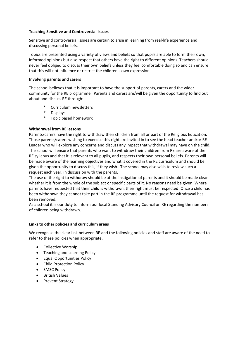### **Teaching Sensitive and Controversial Issues**

Sensitive and controversial issues are certain to arise in learning from real-life experience and discussing personal beliefs.

Topics are presented using a variety of views and beliefs so that pupils are able to form their own, informed opinions but also respect that others have the right to different opinions. Teachers should never feel obliged to discuss their own beliefs unless they feel comfortable doing so and can ensure that this will not influence or restrict the children's own expression.

### **Involving parents and carers**

The school believes that it is important to have the support of parents, carers and the wider community for the RE programme. Parents and carers are/will be given the opportunity to find out about and discuss RE through:

- Curriculum newsletters
- Displays
- \* Topic based homework

### **Withdrawal from RE lessons**

Parents/carers have the right to withdraw their children from all or part of the Religious Education. Those parents/carers wishing to exercise this right are invited in to see the head teacher and/or RE Leader who will explore any concerns and discuss any impact that withdrawal may have on the child. The school will ensure that parents who want to withdraw their children from RE are aware of the RE syllabus and that it is relevant to all pupils, and respects their own personal beliefs. Parents will be made aware of the learning objectives and what is covered in the RE curriculum and should be given the opportunity to discuss this, if they wish. The school may also wish to review such a request each year, in discussion with the parents.

The use of the right to withdraw should be at the instigation of parents and it should be made clear whether it is from the whole of the subject or specific parts of it. No reasons need be given. Where parents have requested that their child is withdrawn, their right must be respected. Once a child has been withdrawn they cannot take part in the RE programme until the request for withdrawal has been removed.

As a school it is our duty to inform our local Standing Advisory Council on RE regarding the numbers of children being withdrawn.

### **Links to other policies and curriculum areas**

We recognise the clear link between RE and the following policies and staff are aware of the need to refer to these policies when appropriate.

- Collective Worship
- Teaching and Learning Policy
- Equal Opportunities Policy
- Child Protection Policy
- SMSC Policy
- British Values
- Prevent Strategy